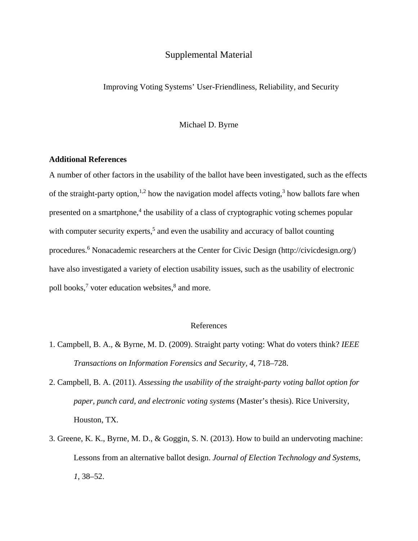## Supplemental Material

Improving Voting Systems' User-Friendliness, Reliability, and Security

Michael D. Byrne

## **Additional References**

A number of other factors in the usability of the ballot have been investigated, such as the effects of the straight-party option,<sup>1,2</sup> how the navigation model affects voting,<sup>3</sup> how ballots fare when presented on a smartphone,<sup>4</sup> the usability of a class of cryptographic voting schemes popular with computer security experts,<sup>5</sup> and even the usability and accuracy of ballot counting procedures.<sup>6</sup> Nonacademic researchers at the Center for Civic Design (http://civicdesign.org/) have also investigated a variety of election usability issues, such as the usability of electronic poll books,<sup>7</sup> voter education websites,<sup>8</sup> and more.

## References

- 1. Campbell, B. A., & Byrne, M. D. (2009). Straight party voting: What do voters think? *IEEE Transactions on Information Forensics and Security, 4*, 718–728.
- 2. Campbell, B. A. (2011). *Assessing the usability of the straight-party voting ballot option for paper, punch card, and electronic voting systems* (Master's thesis). Rice University, Houston, TX.
- 3. Greene, K. K., Byrne, M. D., & Goggin, S. N. (2013). How to build an undervoting machine: Lessons from an alternative ballot design. *Journal of Election Technology and Systems, 1,* 38–52.